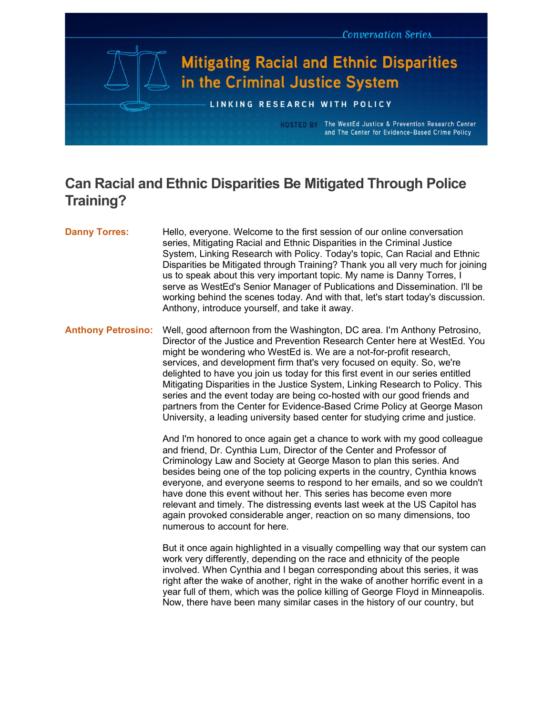

# **Can Racial and Ethnic Disparities Be Mitigated Through Police Training?**

## **Danny Torres:** Hello, everyone. Welcome to the first session of our online conversation series, Mitigating Racial and Ethnic Disparities in the Criminal Justice System, Linking Research with Policy. Today's topic, Can Racial and Ethnic Disparities be Mitigated through Training? Thank you all very much for joining us to speak about this very important topic. My name is Danny Torres, I serve as WestEd's Senior Manager of Publications and Dissemination. I'll be working behind the scenes today. And with that, let's start today's discussion. Anthony, introduce yourself, and take it away. **Anthony Petrosino:** Well, good afternoon from the Washington, DC area. I'm Anthony Petrosino, Director of the Justice and Prevention Research Center here at WestEd. You might be wondering who WestEd is. We are a not-for-profit research, services, and development firm that's very focused on equity. So, we're delighted to have you join us today for this first event in our series entitled Mitigating Disparities in the Justice System, Linking Research to Policy. This series and the event today are being co-hosted with our good friends and partners from the Center for Evidence-Based Crime Policy at George Mason University, a leading university based center for studying crime and justice. And I'm honored to once again get a chance to work with my good colleague and friend, Dr. Cynthia Lum, Director of the Center and Professor of Criminology Law and Society at George Mason to plan this series. And besides being one of the top policing experts in the country, Cynthia knows everyone, and everyone seems to respond to her emails, and so we couldn't have done this event without her. This series has become even more relevant and timely. The distressing events last week at the US Capitol has again provoked considerable anger, reaction on so many dimensions, too numerous to account for here. But it once again highlighted in a visually compelling way that our system can work very differently, depending on the race and ethnicity of the people involved. When Cynthia and I began corresponding about this series, it was right after the wake of another, right in the wake of another horrific event in a year full of them, which was the police killing of George Floyd in Minneapolis. Now, there have been many similar cases in the history of our country, but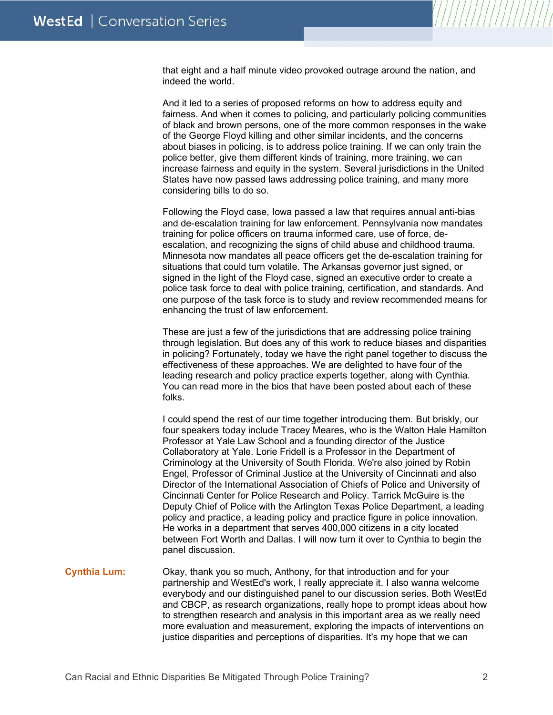that eight and a half minute video provoked outrage around the nation, and indeed the world.

And it led to a series of proposed reforms on how to address equity and fairness. And when it comes to policing, and particularly policing communities of black and brown persons, one of the more common responses in the wake of the George Floyd killing and other similar incidents, and the concerns about biases in policing, is to address police training. If we can only train the police better, give them different kinds of training, more training, we can increase fairness and equity in the system. Several jurisdictions in the United States have now passed laws addressing police training, and many more considering bills to do so.

Following the Floyd case, Iowa passed a law that requires annual anti-bias and de-escalation training for law enforcement. Pennsylvania now mandates training for police officers on trauma informed care, use of force, deescalation, and recognizing the signs of child abuse and childhood trauma. Minnesota now mandates all peace officers get the de-escalation training for situations that could turn volatile. The Arkansas governor just signed, or signed in the light of the Floyd case, signed an executive order to create a police task force to deal with police training, certification, and standards. And one purpose of the task force is to study and review recommended means for enhancing the trust of law enforcement.

These are just a few of the jurisdictions that are addressing police training through legislation. But does any of this work to reduce biases and disparities in policing? Fortunately, today we have the right panel together to discuss the effectiveness of these approaches. We are delighted to have four of the leading research and policy practice experts together, along with Cynthia. You can read more in the bios that have been posted about each of these folks.

I could spend the rest of our time together introducing them. But briskly, our four speakers today include Tracey Meares, who is the Walton Hale Hamilton Professor at Yale Law School and a founding director of the Justice Collaboratory at Yale. Lorie Fridell is a Professor in the Department of Criminology at the University of South Florida. We're also joined by Robin Engel, Professor of Criminal Justice at the University of Cincinnati and also Director of the International Association of Chiefs of Police and University of Cincinnati Center for Police Research and Policy. Tarrick McGuire is the Deputy Chief of Police with the Arlington Texas Police Department, a leading policy and practice, a leading policy and practice figure in police innovation. He works in a department that serves 400,000 citizens in a city located between Fort Worth and Dallas. I will now turn it over to Cynthia to begin the panel discussion.

**Cynthia Lum:** Okay, thank you so much, Anthony, for that introduction and for your partnership and WestEd's work, I really appreciate it. I also wanna welcome everybody and our distinguished panel to our discussion series. Both WestEd and CBCP, as research organizations, really hope to prompt ideas about how to strengthen research and analysis in this important area as we really need more evaluation and measurement, exploring the impacts of interventions on justice disparities and perceptions of disparities. It's my hope that we can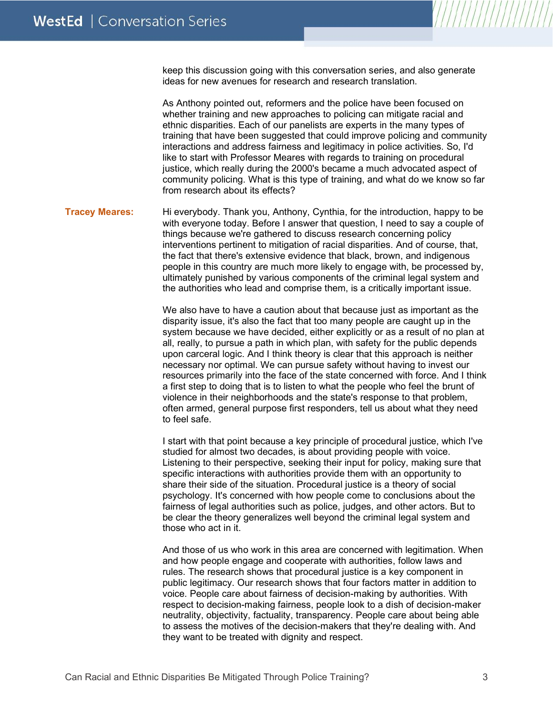keep this discussion going with this conversation series, and also generate ideas for new avenues for research and research translation.

As Anthony pointed out, reformers and the police have been focused on whether training and new approaches to policing can mitigate racial and ethnic disparities. Each of our panelists are experts in the many types of training that have been suggested that could improve policing and community interactions and address fairness and legitimacy in police activities. So, I'd like to start with Professor Meares with regards to training on procedural justice, which really during the 2000's became a much advocated aspect of community policing. What is this type of training, and what do we know so far from research about its effects?

**Tracey Meares:** Hi everybody. Thank you, Anthony, Cynthia, for the introduction, happy to be with everyone today. Before I answer that question, I need to say a couple of things because we're gathered to discuss research concerning policy interventions pertinent to mitigation of racial disparities. And of course, that, the fact that there's extensive evidence that black, brown, and indigenous people in this country are much more likely to engage with, be processed by, ultimately punished by various components of the criminal legal system and the authorities who lead and comprise them, is a critically important issue.

> We also have to have a caution about that because just as important as the disparity issue, it's also the fact that too many people are caught up in the system because we have decided, either explicitly or as a result of no plan at all, really, to pursue a path in which plan, with safety for the public depends upon carceral logic. And I think theory is clear that this approach is neither necessary nor optimal. We can pursue safety without having to invest our resources primarily into the face of the state concerned with force. And I think a first step to doing that is to listen to what the people who feel the brunt of violence in their neighborhoods and the state's response to that problem, often armed, general purpose first responders, tell us about what they need to feel safe.

I start with that point because a key principle of procedural justice, which I've studied for almost two decades, is about providing people with voice. Listening to their perspective, seeking their input for policy, making sure that specific interactions with authorities provide them with an opportunity to share their side of the situation. Procedural justice is a theory of social psychology. It's concerned with how people come to conclusions about the fairness of legal authorities such as police, judges, and other actors. But to be clear the theory generalizes well beyond the criminal legal system and those who act in it.

And those of us who work in this area are concerned with legitimation. When and how people engage and cooperate with authorities, follow laws and rules. The research shows that procedural justice is a key component in public legitimacy. Our research shows that four factors matter in addition to voice. People care about fairness of decision-making by authorities. With respect to decision-making fairness, people look to a dish of decision-maker neutrality, objectivity, factuality, transparency. People care about being able to assess the motives of the decision-makers that they're dealing with. And they want to be treated with dignity and respect.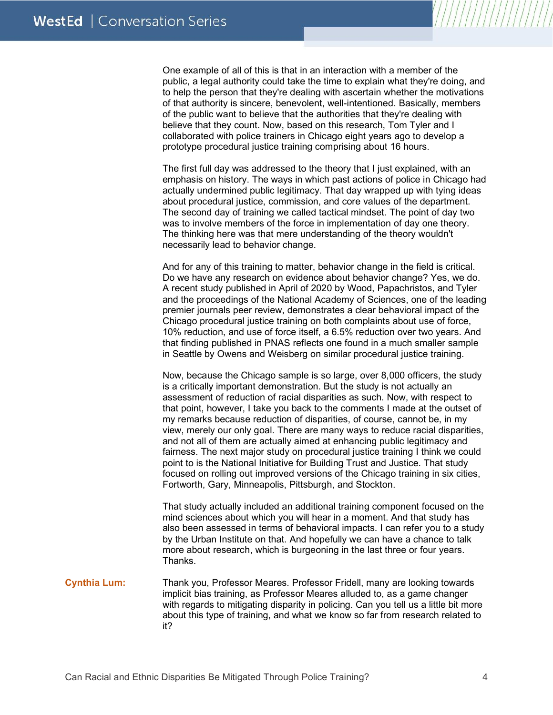One example of all of this is that in an interaction with a member of the public, a legal authority could take the time to explain what they're doing, and to help the person that they're dealing with ascertain whether the motivations of that authority is sincere, benevolent, well-intentioned. Basically, members of the public want to believe that the authorities that they're dealing with believe that they count. Now, based on this research, Tom Tyler and I collaborated with police trainers in Chicago eight years ago to develop a prototype procedural justice training comprising about 16 hours.

The first full day was addressed to the theory that I just explained, with an emphasis on history. The ways in which past actions of police in Chicago had actually undermined public legitimacy. That day wrapped up with tying ideas about procedural justice, commission, and core values of the department. The second day of training we called tactical mindset. The point of day two was to involve members of the force in implementation of day one theory. The thinking here was that mere understanding of the theory wouldn't necessarily lead to behavior change.

And for any of this training to matter, behavior change in the field is critical. Do we have any research on evidence about behavior change? Yes, we do. A recent study published in April of 2020 by Wood, Papachristos, and Tyler and the proceedings of the National Academy of Sciences, one of the leading premier journals peer review, demonstrates a clear behavioral impact of the Chicago procedural justice training on both complaints about use of force, 10% reduction, and use of force itself, a 6.5% reduction over two years. And that finding published in PNAS reflects one found in a much smaller sample in Seattle by Owens and Weisberg on similar procedural justice training.

Now, because the Chicago sample is so large, over 8,000 officers, the study is a critically important demonstration. But the study is not actually an assessment of reduction of racial disparities as such. Now, with respect to that point, however, I take you back to the comments I made at the outset of my remarks because reduction of disparities, of course, cannot be, in my view, merely our only goal. There are many ways to reduce racial disparities, and not all of them are actually aimed at enhancing public legitimacy and fairness. The next major study on procedural justice training I think we could point to is the National Initiative for Building Trust and Justice. That study focused on rolling out improved versions of the Chicago training in six cities, Fortworth, Gary, Minneapolis, Pittsburgh, and Stockton.

That study actually included an additional training component focused on the mind sciences about which you will hear in a moment. And that study has also been assessed in terms of behavioral impacts. I can refer you to a study by the Urban Institute on that. And hopefully we can have a chance to talk more about research, which is burgeoning in the last three or four years. Thanks.

**Cynthia Lum:** Thank you, Professor Meares. Professor Fridell, many are looking towards implicit bias training, as Professor Meares alluded to, as a game changer with regards to mitigating disparity in policing. Can you tell us a little bit more about this type of training, and what we know so far from research related to it?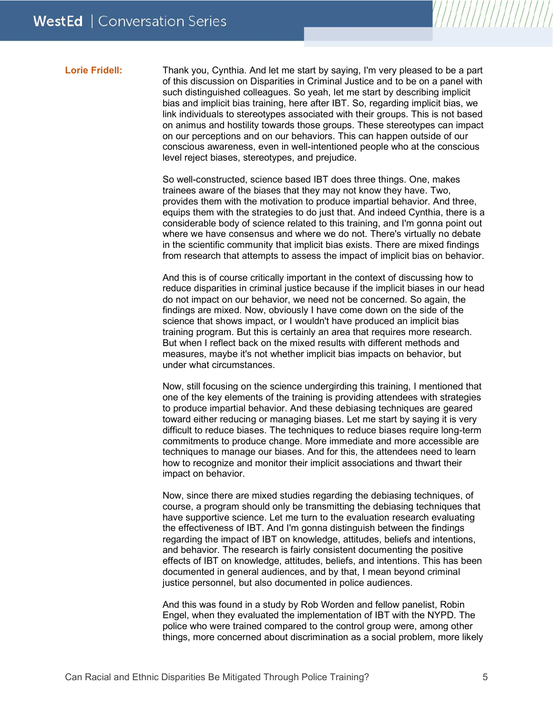**Lorie Fridell:** Thank you, Cynthia. And let me start by saying, I'm very pleased to be a part of this discussion on Disparities in Criminal Justice and to be on a panel with such distinguished colleagues. So yeah, let me start by describing implicit bias and implicit bias training, here after IBT. So, regarding implicit bias, we link individuals to stereotypes associated with their groups. This is not based on animus and hostility towards those groups. These stereotypes can impact on our perceptions and on our behaviors. This can happen outside of our conscious awareness, even in well-intentioned people who at the conscious level reject biases, stereotypes, and prejudice.

> So well-constructed, science based IBT does three things. One, makes trainees aware of the biases that they may not know they have. Two, provides them with the motivation to produce impartial behavior. And three, equips them with the strategies to do just that. And indeed Cynthia, there is a considerable body of science related to this training, and I'm gonna point out where we have consensus and where we do not. There's virtually no debate in the scientific community that implicit bias exists. There are mixed findings from research that attempts to assess the impact of implicit bias on behavior.

> And this is of course critically important in the context of discussing how to reduce disparities in criminal justice because if the implicit biases in our head do not impact on our behavior, we need not be concerned. So again, the findings are mixed. Now, obviously I have come down on the side of the science that shows impact, or I wouldn't have produced an implicit bias training program. But this is certainly an area that requires more research. But when I reflect back on the mixed results with different methods and measures, maybe it's not whether implicit bias impacts on behavior, but under what circumstances.

> Now, still focusing on the science undergirding this training, I mentioned that one of the key elements of the training is providing attendees with strategies to produce impartial behavior. And these debiasing techniques are geared toward either reducing or managing biases. Let me start by saying it is very difficult to reduce biases. The techniques to reduce biases require long-term commitments to produce change. More immediate and more accessible are techniques to manage our biases. And for this, the attendees need to learn how to recognize and monitor their implicit associations and thwart their impact on behavior.

> Now, since there are mixed studies regarding the debiasing techniques, of course, a program should only be transmitting the debiasing techniques that have supportive science. Let me turn to the evaluation research evaluating the effectiveness of IBT. And I'm gonna distinguish between the findings regarding the impact of IBT on knowledge, attitudes, beliefs and intentions, and behavior. The research is fairly consistent documenting the positive effects of IBT on knowledge, attitudes, beliefs, and intentions. This has been documented in general audiences, and by that, I mean beyond criminal justice personnel, but also documented in police audiences.

> And this was found in a study by Rob Worden and fellow panelist, Robin Engel, when they evaluated the implementation of IBT with the NYPD. The police who were trained compared to the control group were, among other things, more concerned about discrimination as a social problem, more likely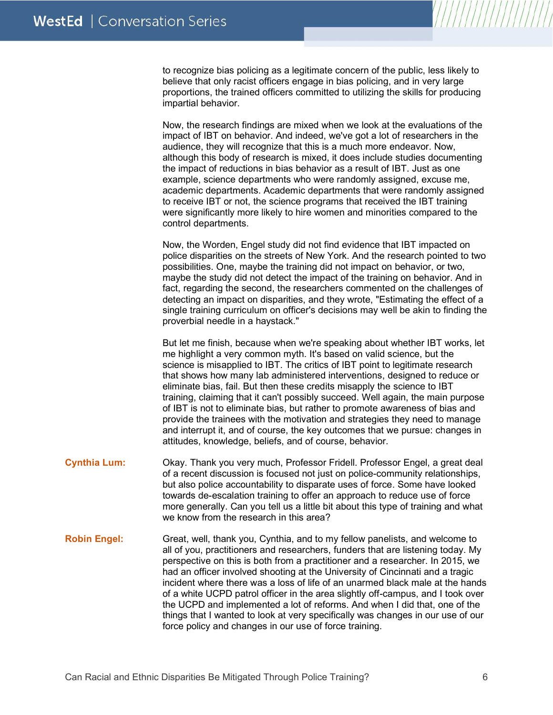to recognize bias policing as a legitimate concern of the public, less likely to believe that only racist officers engage in bias policing, and in very large proportions, the trained officers committed to utilizing the skills for producing impartial behavior.

Now, the research findings are mixed when we look at the evaluations of the impact of IBT on behavior. And indeed, we've got a lot of researchers in the audience, they will recognize that this is a much more endeavor. Now, although this body of research is mixed, it does include studies documenting the impact of reductions in bias behavior as a result of IBT. Just as one example, science departments who were randomly assigned, excuse me, academic departments. Academic departments that were randomly assigned to receive IBT or not, the science programs that received the IBT training were significantly more likely to hire women and minorities compared to the control departments.

Now, the Worden, Engel study did not find evidence that IBT impacted on police disparities on the streets of New York. And the research pointed to two possibilities. One, maybe the training did not impact on behavior, or two, maybe the study did not detect the impact of the training on behavior. And in fact, regarding the second, the researchers commented on the challenges of detecting an impact on disparities, and they wrote, "Estimating the effect of a single training curriculum on officer's decisions may well be akin to finding the proverbial needle in a haystack."

But let me finish, because when we're speaking about whether IBT works, let me highlight a very common myth. It's based on valid science, but the science is misapplied to IBT. The critics of IBT point to legitimate research that shows how many lab administered interventions, designed to reduce or eliminate bias, fail. But then these credits misapply the science to IBT training, claiming that it can't possibly succeed. Well again, the main purpose of IBT is not to eliminate bias, but rather to promote awareness of bias and provide the trainees with the motivation and strategies they need to manage and interrupt it, and of course, the key outcomes that we pursue: changes in attitudes, knowledge, beliefs, and of course, behavior.

- **Cynthia Lum:** Okay. Thank you very much, Professor Fridell. Professor Engel, a great deal of a recent discussion is focused not just on police-community relationships, but also police accountability to disparate uses of force. Some have looked towards de-escalation training to offer an approach to reduce use of force more generally. Can you tell us a little bit about this type of training and what we know from the research in this area?
- **Robin Engel:** Great, well, thank you, Cynthia, and to my fellow panelists, and welcome to all of you, practitioners and researchers, funders that are listening today. My perspective on this is both from a practitioner and a researcher. In 2015, we had an officer involved shooting at the University of Cincinnati and a tragic incident where there was a loss of life of an unarmed black male at the hands of a white UCPD patrol officer in the area slightly off-campus, and I took over the UCPD and implemented a lot of reforms. And when I did that, one of the things that I wanted to look at very specifically was changes in our use of our force policy and changes in our use of force training.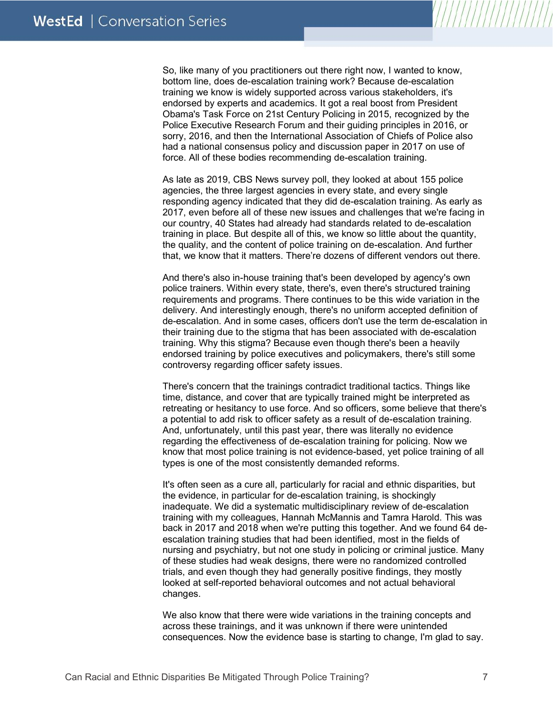So, like many of you practitioners out there right now, I wanted to know, bottom line, does de-escalation training work? Because de-escalation training we know is widely supported across various stakeholders, it's endorsed by experts and academics. It got a real boost from President Obama's Task Force on 21st Century Policing in 2015, recognized by the Police Executive Research Forum and their guiding principles in 2016, or sorry, 2016, and then the International Association of Chiefs of Police also had a national consensus policy and discussion paper in 2017 on use of force. All of these bodies recommending de-escalation training.

As late as 2019, CBS News survey poll, they looked at about 155 police agencies, the three largest agencies in every state, and every single responding agency indicated that they did de-escalation training. As early as 2017, even before all of these new issues and challenges that we're facing in our country, 40 States had already had standards related to de-escalation training in place. But despite all of this, we know so little about the quantity, the quality, and the content of police training on de-escalation. And further that, we know that it matters. There're dozens of different vendors out there.

And there's also in-house training that's been developed by agency's own police trainers. Within every state, there's, even there's structured training requirements and programs. There continues to be this wide variation in the delivery. And interestingly enough, there's no uniform accepted definition of de-escalation. And in some cases, officers don't use the term de-escalation in their training due to the stigma that has been associated with de-escalation training. Why this stigma? Because even though there's been a heavily endorsed training by police executives and policymakers, there's still some controversy regarding officer safety issues.

There's concern that the trainings contradict traditional tactics. Things like time, distance, and cover that are typically trained might be interpreted as retreating or hesitancy to use force. And so officers, some believe that there's a potential to add risk to officer safety as a result of de-escalation training. And, unfortunately, until this past year, there was literally no evidence regarding the effectiveness of de-escalation training for policing. Now we know that most police training is not evidence-based, yet police training of all types is one of the most consistently demanded reforms.

It's often seen as a cure all, particularly for racial and ethnic disparities, but the evidence, in particular for de-escalation training, is shockingly inadequate. We did a systematic multidisciplinary review of de-escalation training with my colleagues, Hannah McMannis and Tamra Harold. This was back in 2017 and 2018 when we're putting this together. And we found 64 deescalation training studies that had been identified, most in the fields of nursing and psychiatry, but not one study in policing or criminal justice. Many of these studies had weak designs, there were no randomized controlled trials, and even though they had generally positive findings, they mostly looked at self-reported behavioral outcomes and not actual behavioral changes.

We also know that there were wide variations in the training concepts and across these trainings, and it was unknown if there were unintended consequences. Now the evidence base is starting to change, I'm glad to say.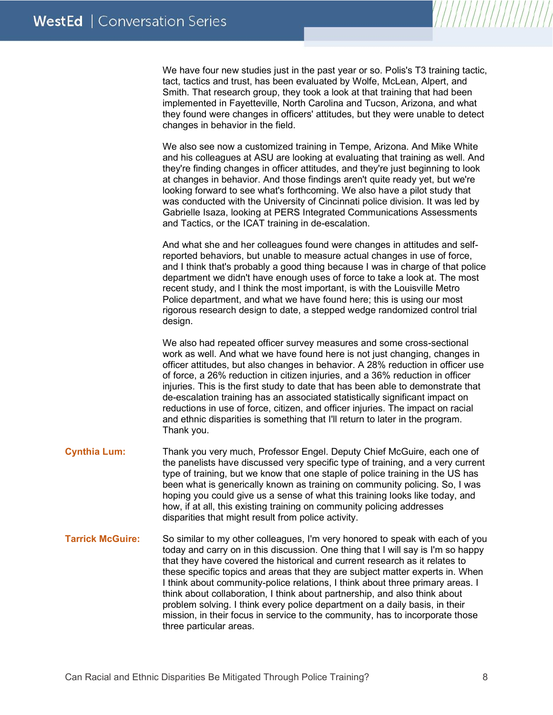We have four new studies just in the past year or so. Polis's T3 training tactic, tact, tactics and trust, has been evaluated by Wolfe, McLean, Alpert, and Smith. That research group, they took a look at that training that had been implemented in Fayetteville, North Carolina and Tucson, Arizona, and what they found were changes in officers' attitudes, but they were unable to detect changes in behavior in the field.

We also see now a customized training in Tempe, Arizona. And Mike White and his colleagues at ASU are looking at evaluating that training as well. And they're finding changes in officer attitudes, and they're just beginning to look at changes in behavior. And those findings aren't quite ready yet, but we're looking forward to see what's forthcoming. We also have a pilot study that was conducted with the University of Cincinnati police division. It was led by Gabrielle Isaza, looking at PERS Integrated Communications Assessments and Tactics, or the ICAT training in de-escalation.

And what she and her colleagues found were changes in attitudes and selfreported behaviors, but unable to measure actual changes in use of force, and I think that's probably a good thing because I was in charge of that police department we didn't have enough uses of force to take a look at. The most recent study, and I think the most important, is with the Louisville Metro Police department, and what we have found here; this is using our most rigorous research design to date, a stepped wedge randomized control trial design.

We also had repeated officer survey measures and some cross-sectional work as well. And what we have found here is not just changing, changes in officer attitudes, but also changes in behavior. A 28% reduction in officer use of force, a 26% reduction in citizen injuries, and a 36% reduction in officer injuries. This is the first study to date that has been able to demonstrate that de-escalation training has an associated statistically significant impact on reductions in use of force, citizen, and officer injuries. The impact on racial and ethnic disparities is something that I'll return to later in the program. Thank you.

- **Cynthia Lum:** Thank you very much, Professor Engel. Deputy Chief McGuire, each one of the panelists have discussed very specific type of training, and a very current type of training, but we know that one staple of police training in the US has been what is generically known as training on community policing. So, I was hoping you could give us a sense of what this training looks like today, and how, if at all, this existing training on community policing addresses disparities that might result from police activity.
- **Tarrick McGuire:** So similar to my other colleagues, I'm very honored to speak with each of you today and carry on in this discussion. One thing that I will say is I'm so happy that they have covered the historical and current research as it relates to these specific topics and areas that they are subject matter experts in. When I think about community-police relations, I think about three primary areas. I think about collaboration, I think about partnership, and also think about problem solving. I think every police department on a daily basis, in their mission, in their focus in service to the community, has to incorporate those three particular areas.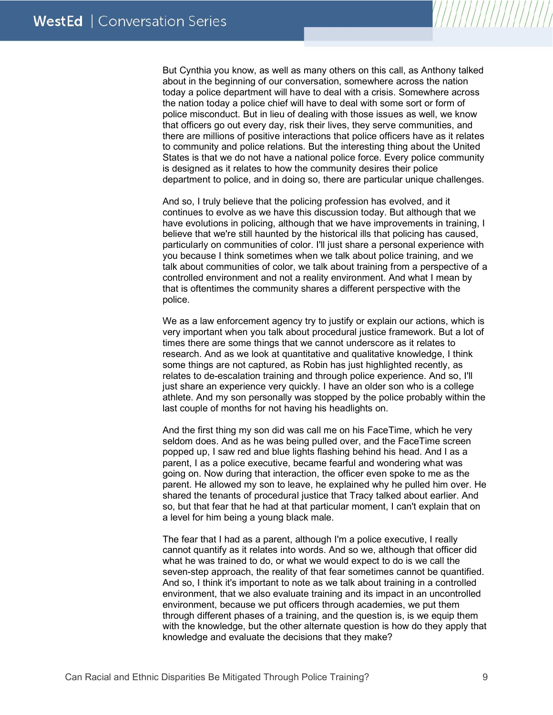But Cynthia you know, as well as many others on this call, as Anthony talked about in the beginning of our conversation, somewhere across the nation today a police department will have to deal with a crisis. Somewhere across the nation today a police chief will have to deal with some sort or form of police misconduct. But in lieu of dealing with those issues as well, we know that officers go out every day, risk their lives, they serve communities, and there are millions of positive interactions that police officers have as it relates to community and police relations. But the interesting thing about the United States is that we do not have a national police force. Every police community is designed as it relates to how the community desires their police department to police, and in doing so, there are particular unique challenges.

And so, I truly believe that the policing profession has evolved, and it continues to evolve as we have this discussion today. But although that we have evolutions in policing, although that we have improvements in training, I believe that we're still haunted by the historical ills that policing has caused, particularly on communities of color. I'll just share a personal experience with you because I think sometimes when we talk about police training, and we talk about communities of color, we talk about training from a perspective of a controlled environment and not a reality environment. And what I mean by that is oftentimes the community shares a different perspective with the police.

We as a law enforcement agency try to justify or explain our actions, which is very important when you talk about procedural justice framework. But a lot of times there are some things that we cannot underscore as it relates to research. And as we look at quantitative and qualitative knowledge, I think some things are not captured, as Robin has just highlighted recently, as relates to de-escalation training and through police experience. And so, I'll just share an experience very quickly. I have an older son who is a college athlete. And my son personally was stopped by the police probably within the last couple of months for not having his headlights on.

And the first thing my son did was call me on his FaceTime, which he very seldom does. And as he was being pulled over, and the FaceTime screen popped up, I saw red and blue lights flashing behind his head. And I as a parent, I as a police executive, became fearful and wondering what was going on. Now during that interaction, the officer even spoke to me as the parent. He allowed my son to leave, he explained why he pulled him over. He shared the tenants of procedural justice that Tracy talked about earlier. And so, but that fear that he had at that particular moment, I can't explain that on a level for him being a young black male.

The fear that I had as a parent, although I'm a police executive, I really cannot quantify as it relates into words. And so we, although that officer did what he was trained to do, or what we would expect to do is we call the seven-step approach, the reality of that fear sometimes cannot be quantified. And so, I think it's important to note as we talk about training in a controlled environment, that we also evaluate training and its impact in an uncontrolled environment, because we put officers through academies, we put them through different phases of a training, and the question is, is we equip them with the knowledge, but the other alternate question is how do they apply that knowledge and evaluate the decisions that they make?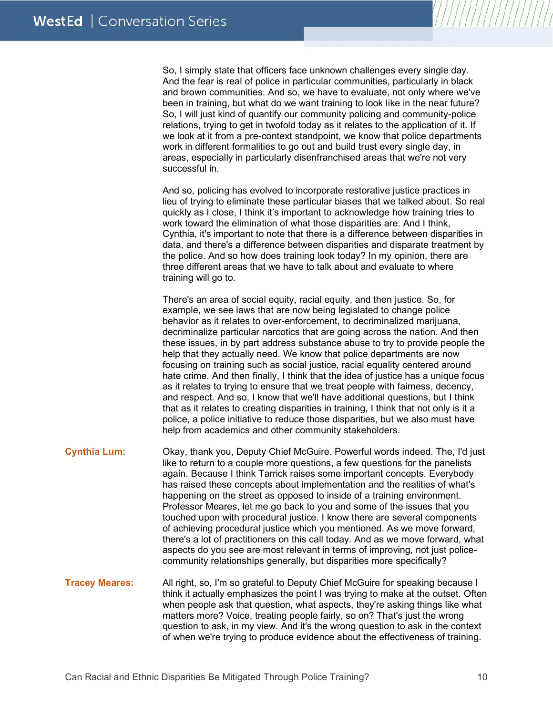So, I simply state that officers face unknown challenges every single day. And the fear is real of police in particular communities, particularly in black and brown communities. And so, we have to evaluate, not only where we've been in training, but what do we want training to look like in the near future? So, I will just kind of quantify our community policing and community-police relations, trying to get in twofold today as it relates to the application of it. If we look at it from a pre-context standpoint, we know that police departments work in different formalities to go out and build trust every single day, in areas, especially in particularly disenfranchised areas that we're not very successful in.

And so, policing has evolved to incorporate restorative justice practices in lieu of trying to eliminate these particular biases that we talked about. So real quickly as I close, I think it's important to acknowledge how training tries to work toward the elimination of what those disparities are. And I think, Cynthia, it's important to note that there is a difference between disparities in data, and there's a difference between disparities and disparate treatment by the police. And so how does training look today? In my opinion, there are three different areas that we have to talk about and evaluate to where training will go to.

There's an area of social equity, racial equity, and then justice. So, for example, we see laws that are now being legislated to change police behavior as it relates to over-enforcement, to decriminalized marijuana, decriminalize particular narcotics that are going across the nation. And then these issues, in by part address substance abuse to try to provide people the help that they actually need. We know that police departments are now focusing on training such as social justice, racial equality centered around hate crime. And then finally, I think that the idea of justice has a unique focus as it relates to trying to ensure that we treat people with fairness, decency, and respect. And so, I know that we'll have additional questions, but I think that as it relates to creating disparities in training, I think that not only is it a police, a police initiative to reduce those disparities, but we also must have help from academics and other community stakeholders.

- **Cynthia Lum:** Okay, thank you, Deputy Chief McGuire. Powerful words indeed. The, I'd just like to return to a couple more questions, a few questions for the panelists again. Because I think Tarrick raises some important concepts. Everybody has raised these concepts about implementation and the realities of what's happening on the street as opposed to inside of a training environment. Professor Meares, let me go back to you and some of the issues that you touched upon with procedural justice. I know there are several components of achieving procedural justice which you mentioned. As we move forward, there's a lot of practitioners on this call today. And as we move forward, what aspects do you see are most relevant in terms of improving, not just policecommunity relationships generally, but disparities more specifically?
- **Tracey Meares:** All right, so, I'm so grateful to Deputy Chief McGuire for speaking because I think it actually emphasizes the point I was trying to make at the outset. Often when people ask that question, what aspects, they're asking things like what matters more? Voice, treating people fairly, so on? That's just the wrong question to ask, in my view. And it's the wrong question to ask in the context of when we're trying to produce evidence about the effectiveness of training.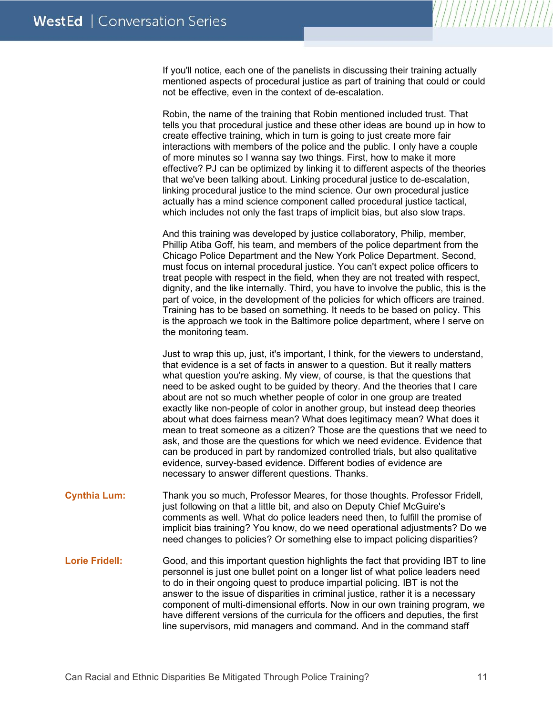If you'll notice, each one of the panelists in discussing their training actually mentioned aspects of procedural justice as part of training that could or could not be effective, even in the context of de-escalation.

Robin, the name of the training that Robin mentioned included trust. That tells you that procedural justice and these other ideas are bound up in how to create effective training, which in turn is going to just create more fair interactions with members of the police and the public. I only have a couple of more minutes so I wanna say two things. First, how to make it more effective? PJ can be optimized by linking it to different aspects of the theories that we've been talking about. Linking procedural justice to de-escalation, linking procedural justice to the mind science. Our own procedural justice actually has a mind science component called procedural justice tactical, which includes not only the fast traps of implicit bias, but also slow traps.

And this training was developed by justice collaboratory, Philip, member, Phillip Atiba Goff, his team, and members of the police department from the Chicago Police Department and the New York Police Department. Second, must focus on internal procedural justice. You can't expect police officers to treat people with respect in the field, when they are not treated with respect, dignity, and the like internally. Third, you have to involve the public, this is the part of voice, in the development of the policies for which officers are trained. Training has to be based on something. It needs to be based on policy. This is the approach we took in the Baltimore police department, where I serve on the monitoring team.

Just to wrap this up, just, it's important, I think, for the viewers to understand, that evidence is a set of facts in answer to a question. But it really matters what question you're asking. My view, of course, is that the questions that need to be asked ought to be guided by theory. And the theories that I care about are not so much whether people of color in one group are treated exactly like non-people of color in another group, but instead deep theories about what does fairness mean? What does legitimacy mean? What does it mean to treat someone as a citizen? Those are the questions that we need to ask, and those are the questions for which we need evidence. Evidence that can be produced in part by randomized controlled trials, but also qualitative evidence, survey-based evidence. Different bodies of evidence are necessary to answer different questions. Thanks.

- **Cynthia Lum:** Thank you so much, Professor Meares, for those thoughts. Professor Fridell, just following on that a little bit, and also on Deputy Chief McGuire's comments as well. What do police leaders need then, to fulfill the promise of implicit bias training? You know, do we need operational adjustments? Do we need changes to policies? Or something else to impact policing disparities?
- Lorie Fridell: Good, and this important question highlights the fact that providing IBT to line personnel is just one bullet point on a longer list of what police leaders need to do in their ongoing quest to produce impartial policing. IBT is not the answer to the issue of disparities in criminal justice, rather it is a necessary component of multi-dimensional efforts. Now in our own training program, we have different versions of the curricula for the officers and deputies, the first line supervisors, mid managers and command. And in the command staff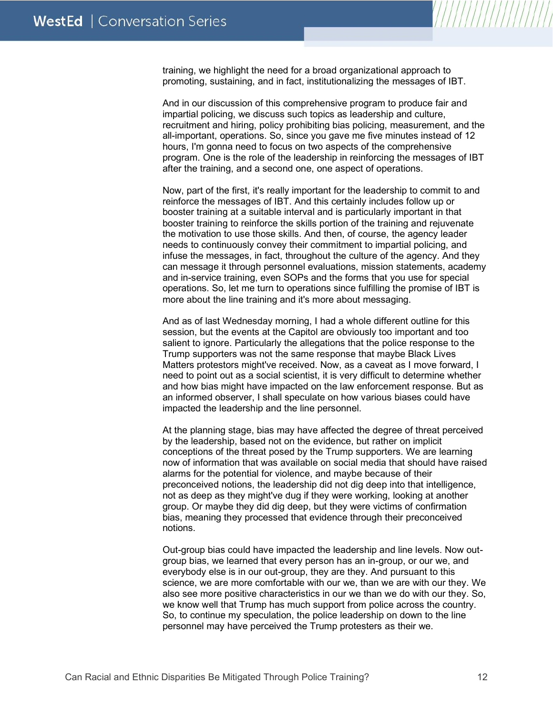training, we highlight the need for a broad organizational approach to promoting, sustaining, and in fact, institutionalizing the messages of IBT.

And in our discussion of this comprehensive program to produce fair and impartial policing, we discuss such topics as leadership and culture, recruitment and hiring, policy prohibiting bias policing, measurement, and the all-important, operations. So, since you gave me five minutes instead of 12 hours, I'm gonna need to focus on two aspects of the comprehensive program. One is the role of the leadership in reinforcing the messages of IBT after the training, and a second one, one aspect of operations.

Now, part of the first, it's really important for the leadership to commit to and reinforce the messages of IBT. And this certainly includes follow up or booster training at a suitable interval and is particularly important in that booster training to reinforce the skills portion of the training and rejuvenate the motivation to use those skills. And then, of course, the agency leader needs to continuously convey their commitment to impartial policing, and infuse the messages, in fact, throughout the culture of the agency. And they can message it through personnel evaluations, mission statements, academy and in-service training, even SOPs and the forms that you use for special operations. So, let me turn to operations since fulfilling the promise of IBT is more about the line training and it's more about messaging.

And as of last Wednesday morning, I had a whole different outline for this session, but the events at the Capitol are obviously too important and too salient to ignore. Particularly the allegations that the police response to the Trump supporters was not the same response that maybe Black Lives Matters protestors might've received. Now, as a caveat as I move forward, I need to point out as a social scientist, it is very difficult to determine whether and how bias might have impacted on the law enforcement response. But as an informed observer, I shall speculate on how various biases could have impacted the leadership and the line personnel.

At the planning stage, bias may have affected the degree of threat perceived by the leadership, based not on the evidence, but rather on implicit conceptions of the threat posed by the Trump supporters. We are learning now of information that was available on social media that should have raised alarms for the potential for violence, and maybe because of their preconceived notions, the leadership did not dig deep into that intelligence, not as deep as they might've dug if they were working, looking at another group. Or maybe they did dig deep, but they were victims of confirmation bias, meaning they processed that evidence through their preconceived notions.

Out-group bias could have impacted the leadership and line levels. Now outgroup bias, we learned that every person has an in-group, or our we, and everybody else is in our out-group, they are they. And pursuant to this science, we are more comfortable with our we, than we are with our they. We also see more positive characteristics in our we than we do with our they. So, we know well that Trump has much support from police across the country. So, to continue my speculation, the police leadership on down to the line personnel may have perceived the Trump protesters as their we.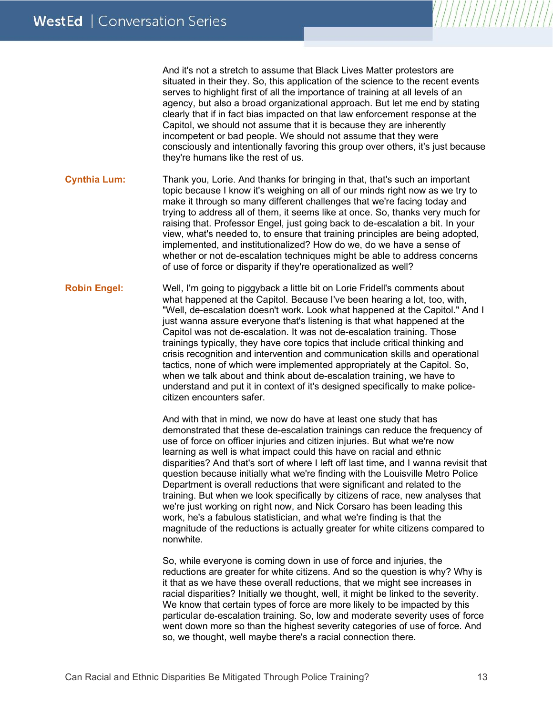And it's not a stretch to assume that Black Lives Matter protestors are situated in their they. So, this application of the science to the recent events serves to highlight first of all the importance of training at all levels of an agency, but also a broad organizational approach. But let me end by stating clearly that if in fact bias impacted on that law enforcement response at the Capitol, we should not assume that it is because they are inherently incompetent or bad people. We should not assume that they were consciously and intentionally favoring this group over others, it's just because they're humans like the rest of us.

**Cynthia Lum:** Thank you, Lorie. And thanks for bringing in that, that's such an important topic because I know it's weighing on all of our minds right now as we try to make it through so many different challenges that we're facing today and trying to address all of them, it seems like at once. So, thanks very much for raising that. Professor Engel, just going back to de-escalation a bit. In your view, what's needed to, to ensure that training principles are being adopted, implemented, and institutionalized? How do we, do we have a sense of whether or not de-escalation techniques might be able to address concerns of use of force or disparity if they're operationalized as well?

**Robin Engel:** Well, I'm going to piggyback a little bit on Lorie Fridell's comments about what happened at the Capitol. Because I've been hearing a lot, too, with, "Well, de-escalation doesn't work. Look what happened at the Capitol." And I just wanna assure everyone that's listening is that what happened at the Capitol was not de-escalation. It was not de-escalation training. Those trainings typically, they have core topics that include critical thinking and crisis recognition and intervention and communication skills and operational tactics, none of which were implemented appropriately at the Capitol. So, when we talk about and think about de-escalation training, we have to understand and put it in context of it's designed specifically to make policecitizen encounters safer.

> And with that in mind, we now do have at least one study that has demonstrated that these de-escalation trainings can reduce the frequency of use of force on officer injuries and citizen injuries. But what we're now learning as well is what impact could this have on racial and ethnic disparities? And that's sort of where I left off last time, and I wanna revisit that question because initially what we're finding with the Louisville Metro Police Department is overall reductions that were significant and related to the training. But when we look specifically by citizens of race, new analyses that we're just working on right now, and Nick Corsaro has been leading this work, he's a fabulous statistician, and what we're finding is that the magnitude of the reductions is actually greater for white citizens compared to nonwhite.

So, while everyone is coming down in use of force and injuries, the reductions are greater for white citizens. And so the question is why? Why is it that as we have these overall reductions, that we might see increases in racial disparities? Initially we thought, well, it might be linked to the severity. We know that certain types of force are more likely to be impacted by this particular de-escalation training. So, low and moderate severity uses of force went down more so than the highest severity categories of use of force. And so, we thought, well maybe there's a racial connection there.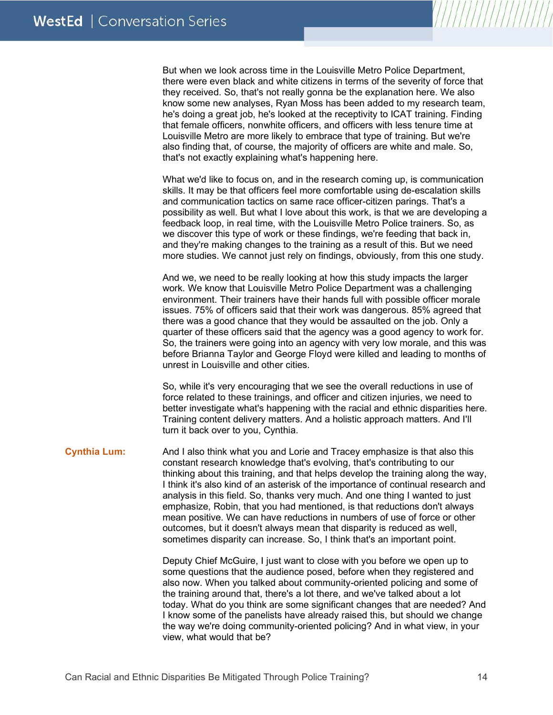But when we look across time in the Louisville Metro Police Department, there were even black and white citizens in terms of the severity of force that they received. So, that's not really gonna be the explanation here. We also know some new analyses, Ryan Moss has been added to my research team, he's doing a great job, he's looked at the receptivity to ICAT training. Finding that female officers, nonwhite officers, and officers with less tenure time at Louisville Metro are more likely to embrace that type of training. But we're also finding that, of course, the majority of officers are white and male. So, that's not exactly explaining what's happening here.

What we'd like to focus on, and in the research coming up, is communication skills. It may be that officers feel more comfortable using de-escalation skills and communication tactics on same race officer-citizen parings. That's a possibility as well. But what I love about this work, is that we are developing a feedback loop, in real time, with the Louisville Metro Police trainers. So, as we discover this type of work or these findings, we're feeding that back in, and they're making changes to the training as a result of this. But we need more studies. We cannot just rely on findings, obviously, from this one study.

And we, we need to be really looking at how this study impacts the larger work. We know that Louisville Metro Police Department was a challenging environment. Their trainers have their hands full with possible officer morale issues. 75% of officers said that their work was dangerous. 85% agreed that there was a good chance that they would be assaulted on the job. Only a quarter of these officers said that the agency was a good agency to work for. So, the trainers were going into an agency with very low morale, and this was before Brianna Taylor and George Floyd were killed and leading to months of unrest in Louisville and other cities.

So, while it's very encouraging that we see the overall reductions in use of force related to these trainings, and officer and citizen injuries, we need to better investigate what's happening with the racial and ethnic disparities here. Training content delivery matters. And a holistic approach matters. And I'll turn it back over to you, Cynthia.

**Cynthia Lum:** And I also think what you and Lorie and Tracey emphasize is that also this constant research knowledge that's evolving, that's contributing to our thinking about this training, and that helps develop the training along the way, I think it's also kind of an asterisk of the importance of continual research and analysis in this field. So, thanks very much. And one thing I wanted to just emphasize, Robin, that you had mentioned, is that reductions don't always mean positive. We can have reductions in numbers of use of force or other outcomes, but it doesn't always mean that disparity is reduced as well, sometimes disparity can increase. So, I think that's an important point.

> Deputy Chief McGuire, I just want to close with you before we open up to some questions that the audience posed, before when they registered and also now. When you talked about community-oriented policing and some of the training around that, there's a lot there, and we've talked about a lot today. What do you think are some significant changes that are needed? And I know some of the panelists have already raised this, but should we change the way we're doing community-oriented policing? And in what view, in your view, what would that be?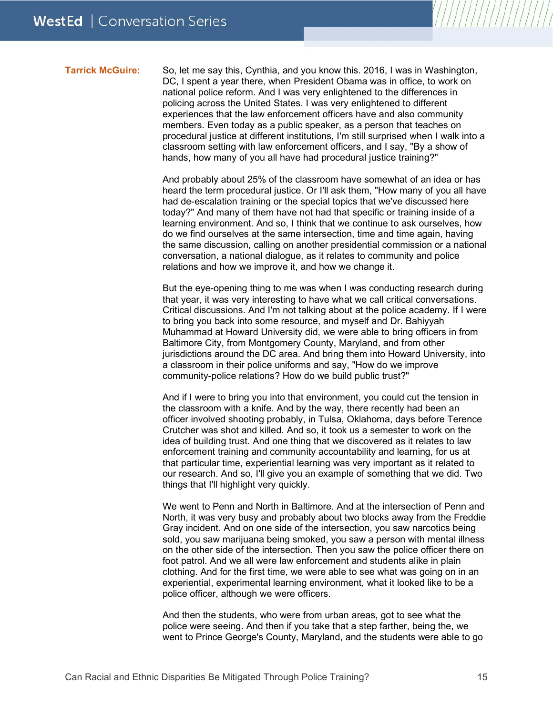**Tarrick McGuire:** So, let me say this, Cynthia, and you know this. 2016, I was in Washington, DC, I spent a year there, when President Obama was in office, to work on national police reform. And I was very enlightened to the differences in policing across the United States. I was very enlightened to different experiences that the law enforcement officers have and also community members. Even today as a public speaker, as a person that teaches on procedural justice at different institutions, I'm still surprised when I walk into a classroom setting with law enforcement officers, and I say, "By a show of hands, how many of you all have had procedural justice training?"

> And probably about 25% of the classroom have somewhat of an idea or has heard the term procedural justice. Or I'll ask them, "How many of you all have had de-escalation training or the special topics that we've discussed here today?" And many of them have not had that specific or training inside of a learning environment. And so, I think that we continue to ask ourselves, how do we find ourselves at the same intersection, time and time again, having the same discussion, calling on another presidential commission or a national conversation, a national dialogue, as it relates to community and police relations and how we improve it, and how we change it.

> But the eye-opening thing to me was when I was conducting research during that year, it was very interesting to have what we call critical conversations. Critical discussions. And I'm not talking about at the police academy. If I were to bring you back into some resource, and myself and Dr. Bahiyyah Muhammad at Howard University did, we were able to bring officers in from Baltimore City, from Montgomery County, Maryland, and from other jurisdictions around the DC area. And bring them into Howard University, into a classroom in their police uniforms and say, "How do we improve community-police relations? How do we build public trust?"

> And if I were to bring you into that environment, you could cut the tension in the classroom with a knife. And by the way, there recently had been an officer involved shooting probably, in Tulsa, Oklahoma, days before Terence Crutcher was shot and killed. And so, it took us a semester to work on the idea of building trust. And one thing that we discovered as it relates to law enforcement training and community accountability and learning, for us at that particular time, experiential learning was very important as it related to our research. And so, I'll give you an example of something that we did. Two things that I'll highlight very quickly.

> We went to Penn and North in Baltimore. And at the intersection of Penn and North, it was very busy and probably about two blocks away from the Freddie Gray incident. And on one side of the intersection, you saw narcotics being sold, you saw marijuana being smoked, you saw a person with mental illness on the other side of the intersection. Then you saw the police officer there on foot patrol. And we all were law enforcement and students alike in plain clothing. And for the first time, we were able to see what was going on in an experiential, experimental learning environment, what it looked like to be a police officer, although we were officers.

> And then the students, who were from urban areas, got to see what the police were seeing. And then if you take that a step farther, being the, we went to Prince George's County, Maryland, and the students were able to go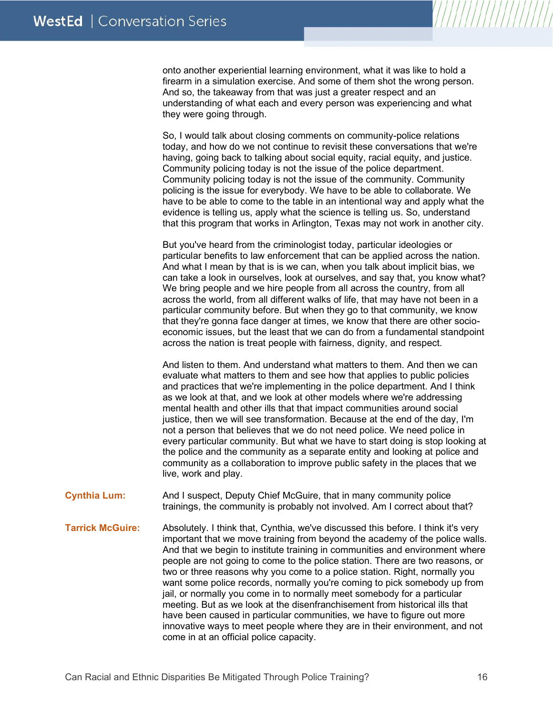onto another experiential learning environment, what it was like to hold a firearm in a simulation exercise. And some of them shot the wrong person. And so, the takeaway from that was just a greater respect and an understanding of what each and every person was experiencing and what they were going through.

So, I would talk about closing comments on community-police relations today, and how do we not continue to revisit these conversations that we're having, going back to talking about social equity, racial equity, and justice. Community policing today is not the issue of the police department. Community policing today is not the issue of the community. Community policing is the issue for everybody. We have to be able to collaborate. We have to be able to come to the table in an intentional way and apply what the evidence is telling us, apply what the science is telling us. So, understand that this program that works in Arlington, Texas may not work in another city.

But you've heard from the criminologist today, particular ideologies or particular benefits to law enforcement that can be applied across the nation. And what I mean by that is is we can, when you talk about implicit bias, we can take a look in ourselves, look at ourselves, and say that, you know what? We bring people and we hire people from all across the country, from all across the world, from all different walks of life, that may have not been in a particular community before. But when they go to that community, we know that they're gonna face danger at times, we know that there are other socioeconomic issues, but the least that we can do from a fundamental standpoint across the nation is treat people with fairness, dignity, and respect.

And listen to them. And understand what matters to them. And then we can evaluate what matters to them and see how that applies to public policies and practices that we're implementing in the police department. And I think as we look at that, and we look at other models where we're addressing mental health and other ills that that impact communities around social justice, then we will see transformation. Because at the end of the day, I'm not a person that believes that we do not need police. We need police in every particular community. But what we have to start doing is stop looking at the police and the community as a separate entity and looking at police and community as a collaboration to improve public safety in the places that we live, work and play.

**Cynthia Lum:** And I suspect, Deputy Chief McGuire, that in many community police trainings, the community is probably not involved. Am I correct about that?

**Tarrick McGuire:** Absolutely. I think that, Cynthia, we've discussed this before. I think it's very important that we move training from beyond the academy of the police walls. And that we begin to institute training in communities and environment where people are not going to come to the police station. There are two reasons, or two or three reasons why you come to a police station. Right, normally you want some police records, normally you're coming to pick somebody up from jail, or normally you come in to normally meet somebody for a particular meeting. But as we look at the disenfranchisement from historical ills that have been caused in particular communities, we have to figure out more innovative ways to meet people where they are in their environment, and not come in at an official police capacity.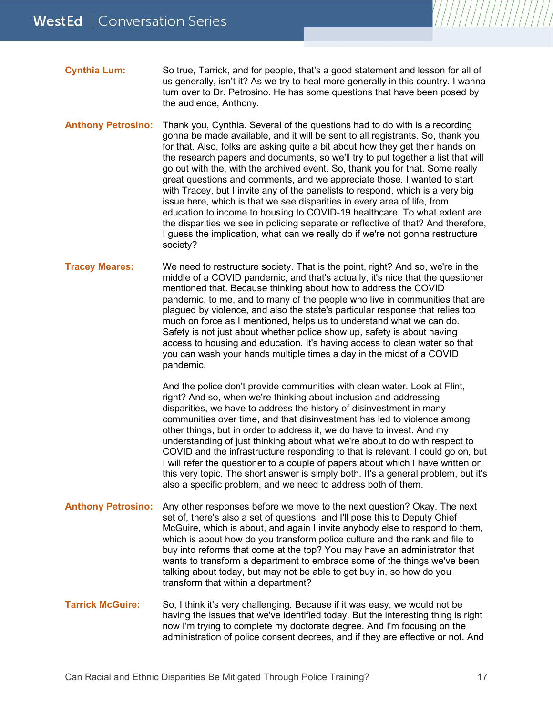| <b>Cynthia Lum:</b> | So true, Tarrick, and for people, that's a good statement and lesson for all of   |
|---------------------|-----------------------------------------------------------------------------------|
|                     | us generally, isn't it? As we try to heal more generally in this country. I wanna |
|                     | turn over to Dr. Petrosino. He has some questions that have been posed by         |
|                     | the audience, Anthony.                                                            |

- **Anthony Petrosino:** Thank you, Cynthia. Several of the questions had to do with is a recording gonna be made available, and it will be sent to all registrants. So, thank you for that. Also, folks are asking quite a bit about how they get their hands on the research papers and documents, so we'll try to put together a list that will go out with the, with the archived event. So, thank you for that. Some really great questions and comments, and we appreciate those. I wanted to start with Tracey, but I invite any of the panelists to respond, which is a very big issue here, which is that we see disparities in every area of life, from education to income to housing to COVID-19 healthcare. To what extent are the disparities we see in policing separate or reflective of that? And therefore, I guess the implication, what can we really do if we're not gonna restructure society?
- **Tracey Meares:** We need to restructure society. That is the point, right? And so, we're in the middle of a COVID pandemic, and that's actually, it's nice that the questioner mentioned that. Because thinking about how to address the COVID pandemic, to me, and to many of the people who live in communities that are plagued by violence, and also the state's particular response that relies too much on force as I mentioned, helps us to understand what we can do. Safety is not just about whether police show up, safety is about having access to housing and education. It's having access to clean water so that you can wash your hands multiple times a day in the midst of a COVID pandemic.

And the police don't provide communities with clean water. Look at Flint, right? And so, when we're thinking about inclusion and addressing disparities, we have to address the history of disinvestment in many communities over time, and that disinvestment has led to violence among other things, but in order to address it, we do have to invest. And my understanding of just thinking about what we're about to do with respect to COVID and the infrastructure responding to that is relevant. I could go on, but I will refer the questioner to a couple of papers about which I have written on this very topic. The short answer is simply both. It's a general problem, but it's also a specific problem, and we need to address both of them.

- **Anthony Petrosino:** Any other responses before we move to the next question? Okay. The next set of, there's also a set of questions, and I'll pose this to Deputy Chief McGuire, which is about, and again I invite anybody else to respond to them, which is about how do you transform police culture and the rank and file to buy into reforms that come at the top? You may have an administrator that wants to transform a department to embrace some of the things we've been talking about today, but may not be able to get buy in, so how do you transform that within a department?
- **Tarrick McGuire:** So, I think it's very challenging. Because if it was easy, we would not be having the issues that we've identified today. But the interesting thing is right now I'm trying to complete my doctorate degree. And I'm focusing on the administration of police consent decrees, and if they are effective or not. And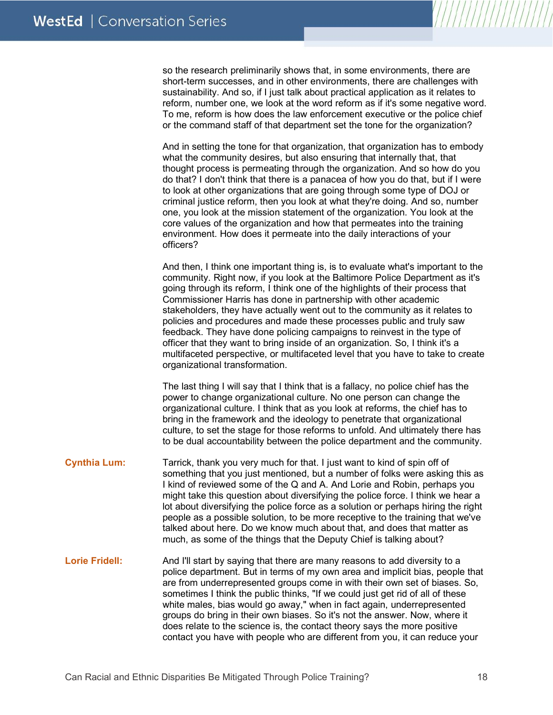so the research preliminarily shows that, in some environments, there are short-term successes, and in other environments, there are challenges with sustainability. And so, if I just talk about practical application as it relates to reform, number one, we look at the word reform as if it's some negative word. To me, reform is how does the law enforcement executive or the police chief or the command staff of that department set the tone for the organization?

And in setting the tone for that organization, that organization has to embody what the community desires, but also ensuring that internally that, that thought process is permeating through the organization. And so how do you do that? I don't think that there is a panacea of how you do that, but if I were to look at other organizations that are going through some type of DOJ or criminal justice reform, then you look at what they're doing. And so, number one, you look at the mission statement of the organization. You look at the core values of the organization and how that permeates into the training environment. How does it permeate into the daily interactions of your officers?

And then, I think one important thing is, is to evaluate what's important to the community. Right now, if you look at the Baltimore Police Department as it's going through its reform, I think one of the highlights of their process that Commissioner Harris has done in partnership with other academic stakeholders, they have actually went out to the community as it relates to policies and procedures and made these processes public and truly saw feedback. They have done policing campaigns to reinvest in the type of officer that they want to bring inside of an organization. So, I think it's a multifaceted perspective, or multifaceted level that you have to take to create organizational transformation.

The last thing I will say that I think that is a fallacy, no police chief has the power to change organizational culture. No one person can change the organizational culture. I think that as you look at reforms, the chief has to bring in the framework and the ideology to penetrate that organizational culture, to set the stage for those reforms to unfold. And ultimately there has to be dual accountability between the police department and the community.

- **Cynthia Lum:** Tarrick, thank you very much for that. I just want to kind of spin off of something that you just mentioned, but a number of folks were asking this as I kind of reviewed some of the Q and A. And Lorie and Robin, perhaps you might take this question about diversifying the police force. I think we hear a lot about diversifying the police force as a solution or perhaps hiring the right people as a possible solution, to be more receptive to the training that we've talked about here. Do we know much about that, and does that matter as much, as some of the things that the Deputy Chief is talking about?
- **Lorie Fridell:** And I'll start by saying that there are many reasons to add diversity to a police department. But in terms of my own area and implicit bias, people that are from underrepresented groups come in with their own set of biases. So, sometimes I think the public thinks, "If we could just get rid of all of these white males, bias would go away," when in fact again, underrepresented groups do bring in their own biases. So it's not the answer. Now, where it does relate to the science is, the contact theory says the more positive contact you have with people who are different from you, it can reduce your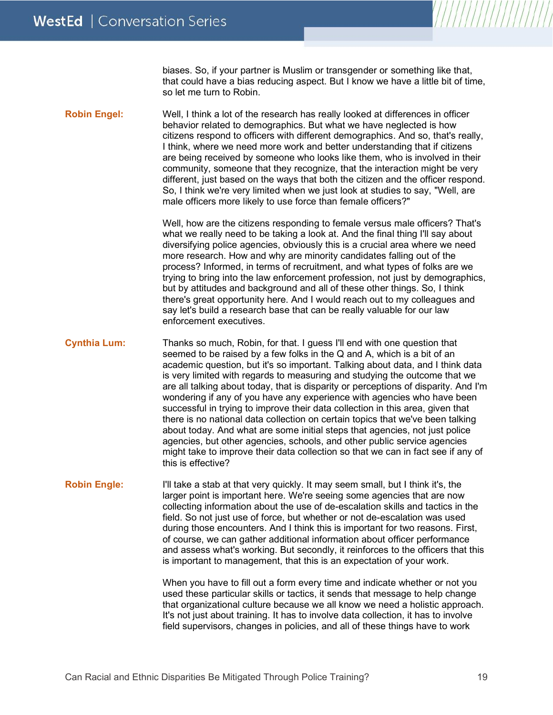biases. So, if your partner is Muslim or transgender or something like that, that could have a bias reducing aspect. But I know we have a little bit of time, so let me turn to Robin.

**Robin Engel:** Well, I think a lot of the research has really looked at differences in officer behavior related to demographics. But what we have neglected is how citizens respond to officers with different demographics. And so, that's really, I think, where we need more work and better understanding that if citizens are being received by someone who looks like them, who is involved in their community, someone that they recognize, that the interaction might be very different, just based on the ways that both the citizen and the officer respond. So, I think we're very limited when we just look at studies to say, "Well, are male officers more likely to use force than female officers?"

> Well, how are the citizens responding to female versus male officers? That's what we really need to be taking a look at. And the final thing I'll say about diversifying police agencies, obviously this is a crucial area where we need more research. How and why are minority candidates falling out of the process? Informed, in terms of recruitment, and what types of folks are we trying to bring into the law enforcement profession, not just by demographics, but by attitudes and background and all of these other things. So, I think there's great opportunity here. And I would reach out to my colleagues and say let's build a research base that can be really valuable for our law enforcement executives.

**Cynthia Lum:** Thanks so much, Robin, for that. I guess I'll end with one question that seemed to be raised by a few folks in the Q and A, which is a bit of an academic question, but it's so important. Talking about data, and I think data is very limited with regards to measuring and studying the outcome that we are all talking about today, that is disparity or perceptions of disparity. And I'm wondering if any of you have any experience with agencies who have been successful in trying to improve their data collection in this area, given that there is no national data collection on certain topics that we've been talking about today. And what are some initial steps that agencies, not just police agencies, but other agencies, schools, and other public service agencies might take to improve their data collection so that we can in fact see if any of this is effective?

### **Robin Engle:** I'll take a stab at that very quickly. It may seem small, but I think it's, the larger point is important here. We're seeing some agencies that are now collecting information about the use of de-escalation skills and tactics in the field. So not just use of force, but whether or not de-escalation was used during those encounters. And I think this is important for two reasons. First, of course, we can gather additional information about officer performance and assess what's working. But secondly, it reinforces to the officers that this is important to management, that this is an expectation of your work.

When you have to fill out a form every time and indicate whether or not you used these particular skills or tactics, it sends that message to help change that organizational culture because we all know we need a holistic approach. It's not just about training. It has to involve data collection, it has to involve field supervisors, changes in policies, and all of these things have to work